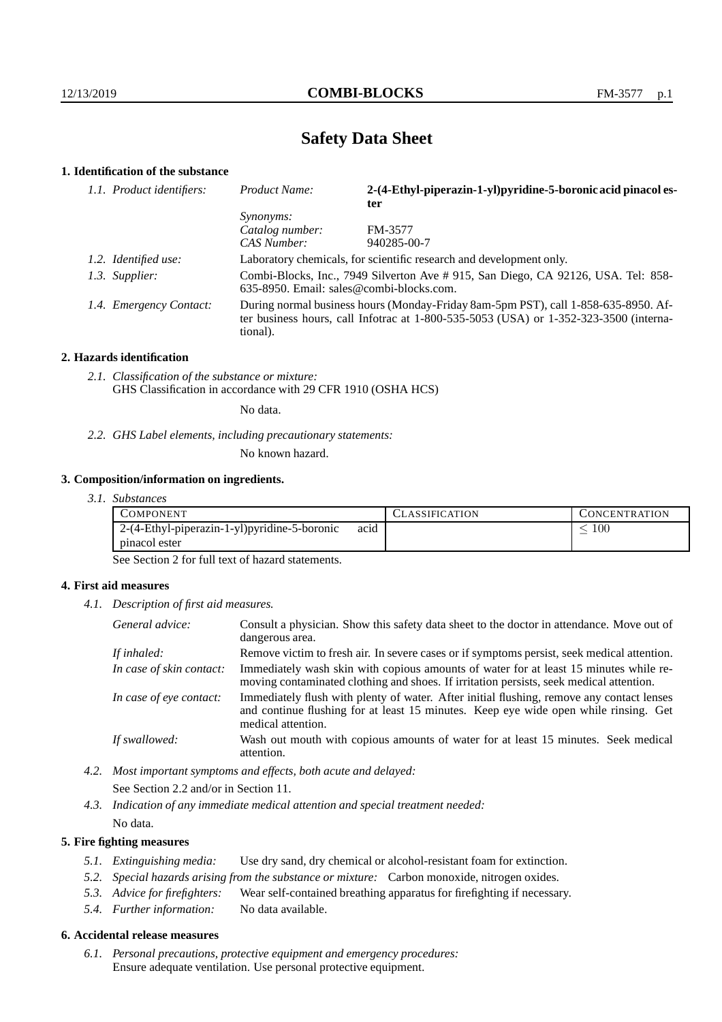# **Safety Data Sheet**

## **1. Identification of the substance**

| 1.1. Product identifiers: | Product Name:                                                                                                                                                                               | 2-(4-Ethyl-piperazin-1-yl)pyridine-5-boronic acid pinacol es- |  |
|---------------------------|---------------------------------------------------------------------------------------------------------------------------------------------------------------------------------------------|---------------------------------------------------------------|--|
|                           |                                                                                                                                                                                             | ter                                                           |  |
|                           | <i>Synonyms:</i>                                                                                                                                                                            |                                                               |  |
|                           | Catalog number:                                                                                                                                                                             | FM-3577                                                       |  |
|                           | CAS Number:                                                                                                                                                                                 | 940285-00-7                                                   |  |
| 1.2. Identified use:      | Laboratory chemicals, for scientific research and development only.                                                                                                                         |                                                               |  |
| 1.3. Supplier:            | Combi-Blocks, Inc., 7949 Silverton Ave # 915, San Diego, CA 92126, USA. Tel: 858-<br>635-8950. Email: sales@combi-blocks.com.                                                               |                                                               |  |
| 1.4. Emergency Contact:   | During normal business hours (Monday-Friday 8am-5pm PST), call 1-858-635-8950. Af-<br>ter business hours, call Infotrac at $1-800-535-5053$ (USA) or $1-352-323-3500$ (interna-<br>tional). |                                                               |  |

## **2. Hazards identification**

*2.1. Classification of the substance or mixture:* GHS Classification in accordance with 29 CFR 1910 (OSHA HCS)

No data.

*2.2. GHS Label elements, including precautionary statements:*

No known hazard.

## **3. Composition/information on ingredients.**

*3.1. Substances*

| COMPONENT                                            | LASSIFICATION | CONCENTRATION |
|------------------------------------------------------|---------------|---------------|
| acid<br>2-(4-Ethyl-piperazin-1-yl)pyridine-5-boronic |               | $100\,$       |
| pinacol ester                                        |               |               |

See Section 2 for full text of hazard statements.

## **4. First aid measures**

*4.1. Description of first aid measures.*

| General advice:          | Consult a physician. Show this safety data sheet to the doctor in attendance. Move out of<br>dangerous area.                                                                                            |
|--------------------------|---------------------------------------------------------------------------------------------------------------------------------------------------------------------------------------------------------|
| If inhaled:              | Remove victim to fresh air. In severe cases or if symptoms persist, seek medical attention.                                                                                                             |
| In case of skin contact: | Immediately wash skin with copious amounts of water for at least 15 minutes while re-<br>moving contaminated clothing and shoes. If irritation persists, seek medical attention.                        |
| In case of eye contact:  | Immediately flush with plenty of water. After initial flushing, remove any contact lenses<br>and continue flushing for at least 15 minutes. Keep eye wide open while rinsing. Get<br>medical attention. |
| If swallowed:            | Wash out mouth with copious amounts of water for at least 15 minutes. Seek medical<br>attention.                                                                                                        |

*4.2. Most important symptoms and effects, both acute and delayed:* See Section 2.2 and/or in Section 11.

*4.3. Indication of any immediate medical attention and special treatment needed:* No data.

## **5. Fire fighting measures**

- *5.1. Extinguishing media:* Use dry sand, dry chemical or alcohol-resistant foam for extinction.
- *5.2. Special hazards arising from the substance or mixture:* Carbon monoxide, nitrogen oxides.
- *5.3. Advice for firefighters:* Wear self-contained breathing apparatus for firefighting if necessary.
- *5.4. Further information:* No data available.

## **6. Accidental release measures**

*6.1. Personal precautions, protective equipment and emergency procedures:* Ensure adequate ventilation. Use personal protective equipment.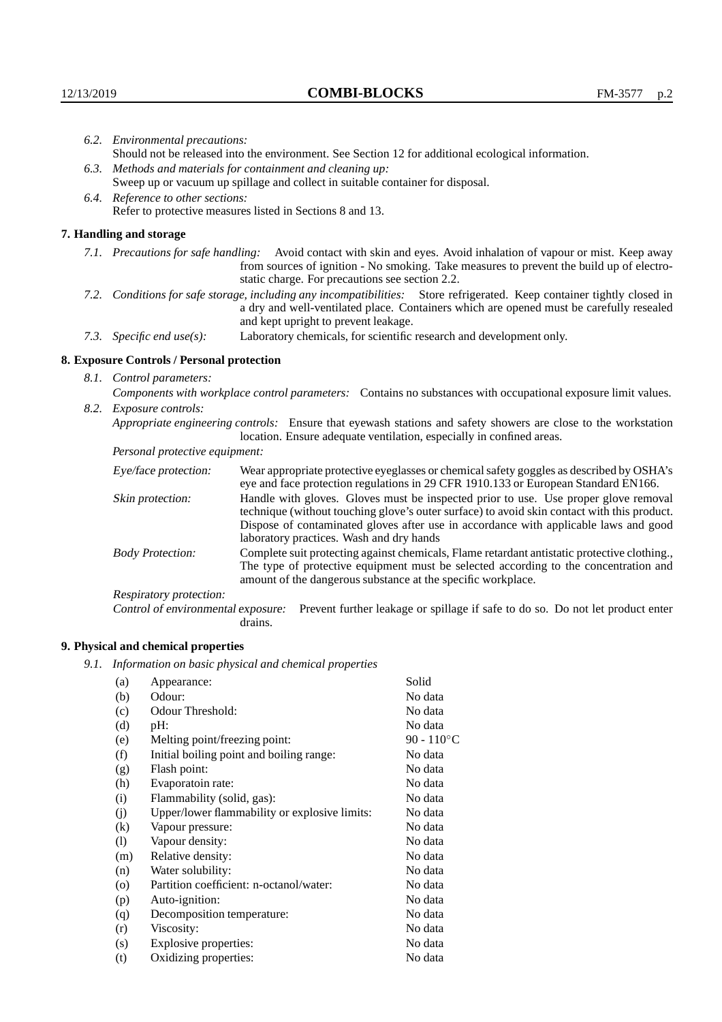|                                                                                                                                                                                                                                                            | 6.2. Environmental precautions:                                                                                                                                                        |                                                                                                                                                                                                                                                                            |  |  |
|------------------------------------------------------------------------------------------------------------------------------------------------------------------------------------------------------------------------------------------------------------|----------------------------------------------------------------------------------------------------------------------------------------------------------------------------------------|----------------------------------------------------------------------------------------------------------------------------------------------------------------------------------------------------------------------------------------------------------------------------|--|--|
|                                                                                                                                                                                                                                                            |                                                                                                                                                                                        | Should not be released into the environment. See Section 12 for additional ecological information.                                                                                                                                                                         |  |  |
|                                                                                                                                                                                                                                                            |                                                                                                                                                                                        | 6.3. Methods and materials for containment and cleaning up:                                                                                                                                                                                                                |  |  |
|                                                                                                                                                                                                                                                            | Sweep up or vacuum up spillage and collect in suitable container for disposal.                                                                                                         |                                                                                                                                                                                                                                                                            |  |  |
| 6.4. Reference to other sections:                                                                                                                                                                                                                          |                                                                                                                                                                                        |                                                                                                                                                                                                                                                                            |  |  |
|                                                                                                                                                                                                                                                            |                                                                                                                                                                                        | Refer to protective measures listed in Sections 8 and 13.                                                                                                                                                                                                                  |  |  |
|                                                                                                                                                                                                                                                            | 7. Handling and storage                                                                                                                                                                |                                                                                                                                                                                                                                                                            |  |  |
|                                                                                                                                                                                                                                                            |                                                                                                                                                                                        | 7.1. Precautions for safe handling: Avoid contact with skin and eyes. Avoid inhalation of vapour or mist. Keep away<br>from sources of ignition - No smoking. Take measures to prevent the build up of electro-<br>static charge. For precautions see section 2.2.         |  |  |
| 7.2. Conditions for safe storage, including any incompatibilities: Store refrigerated. Keep container tightly closed in<br>a dry and well-ventilated place. Containers which are opened must be carefully resealed<br>and kept upright to prevent leakage. |                                                                                                                                                                                        |                                                                                                                                                                                                                                                                            |  |  |
|                                                                                                                                                                                                                                                            | Laboratory chemicals, for scientific research and development only.<br>7.3. Specific end use(s):                                                                                       |                                                                                                                                                                                                                                                                            |  |  |
|                                                                                                                                                                                                                                                            | 8. Exposure Controls / Personal protection                                                                                                                                             |                                                                                                                                                                                                                                                                            |  |  |
|                                                                                                                                                                                                                                                            | 8.1. Control parameters:                                                                                                                                                               |                                                                                                                                                                                                                                                                            |  |  |
|                                                                                                                                                                                                                                                            | Components with workplace control parameters: Contains no substances with occupational exposure limit values.                                                                          |                                                                                                                                                                                                                                                                            |  |  |
|                                                                                                                                                                                                                                                            | 8.2. Exposure controls:                                                                                                                                                                |                                                                                                                                                                                                                                                                            |  |  |
|                                                                                                                                                                                                                                                            | Appropriate engineering controls: Ensure that eyewash stations and safety showers are close to the workstation<br>location. Ensure adequate ventilation, especially in confined areas. |                                                                                                                                                                                                                                                                            |  |  |
|                                                                                                                                                                                                                                                            | Personal protective equipment:                                                                                                                                                         |                                                                                                                                                                                                                                                                            |  |  |
|                                                                                                                                                                                                                                                            | Eye/face protection:                                                                                                                                                                   | Wear appropriate protective eyeglasses or chemical safety goggles as described by OSHA's<br>eye and face protection regulations in 29 CFR 1910.133 or European Standard EN166.                                                                                             |  |  |
|                                                                                                                                                                                                                                                            | Skin protection:                                                                                                                                                                       | Handle with gloves. Gloves must be inspected prior to use. Use proper glove removal<br>technique (without touching glove's outer surface) to avoid skin contact with this product.<br>Dispose of contaminated gloves after use in accordance with applicable laws and good |  |  |

laboratory practices. Wash and dry hands Body Protection: Complete suit protecting against chemicals, Flame retardant antistatic protective clothing., The type of protective equipment must be selected according to the concentration and amount of the dangerous substance at the specific workplace.

Respiratory protection:

Control of environmental exposure: Prevent further leakage or spillage if safe to do so. Do not let product enter drains.

# **9. Physical and chemical properties**

*9.1. Information on basic physical and chemical properties*

| (a)                        | Appearance:                                   | Solid                |
|----------------------------|-----------------------------------------------|----------------------|
| (b)                        | Odour:                                        | No data              |
| (c)                        | Odour Threshold:                              | No data              |
| (d)                        | $pH$ :                                        | No data              |
| (e)                        | Melting point/freezing point:                 | 90 - $110^{\circ}$ C |
| (f)                        | Initial boiling point and boiling range:      | No data              |
| (g)                        | Flash point:                                  | No data              |
| (h)                        | Evaporatoin rate:                             | No data              |
| (i)                        | Flammability (solid, gas):                    | No data              |
| (j)                        | Upper/lower flammability or explosive limits: | No data              |
| $\left( k\right)$          | Vapour pressure:                              | No data              |
| $\left( \mathrm{l}\right)$ | Vapour density:                               | No data              |
| (m)                        | Relative density:                             | No data              |
| (n)                        | Water solubility:                             | No data              |
| $\circ$                    | Partition coefficient: n-octanol/water:       | No data              |
| (p)                        | Auto-ignition:                                | No data              |
| (q)                        | Decomposition temperature:                    | No data              |
| (r)                        | Viscosity:                                    | No data              |
| (s)                        | Explosive properties:                         | No data              |
| (t)                        | Oxidizing properties:                         | No data              |